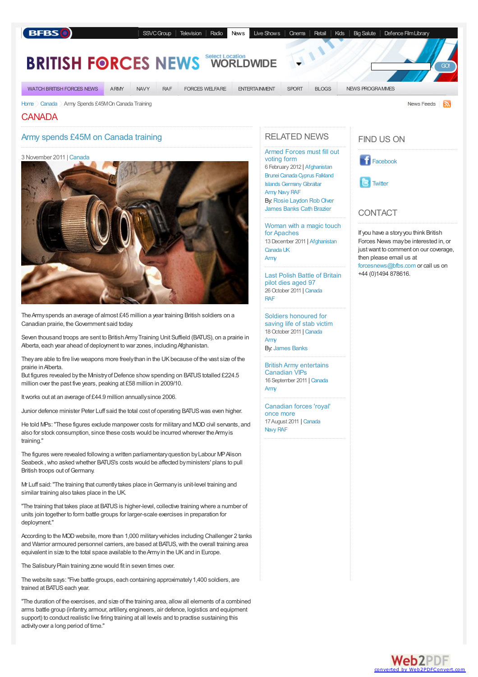### **BFBS**

[SSVCGroup](http://www.ssvc.com) [Television](http://www.bfbs.com/tv) [Radio](http://www.bfbs.com/radio) [News](http://bfbs.com/news/) Live [Shows](http://www.ssvc.com/cse) [Cinema](http://www.ssvc.com/cinema) [Retail](http://www.ssvc.com/retail) [Kids](http://www.bfbs.com/room785) Big [Salute](http://www.bfbs.com/bigsalute) Defence Film Library

#### **Location BRITISH FORCES NEW [WORLDWIDE](http://bfbs.com/news/regions/worldwide)**

**WATCH BRITISH FORCES NEWS** 

ARMY **NAVY RAF**  **FORCES WELFARE** 

**ENTERTAINMENT** SPORT **BLOGS** NEWS PROGRAMMES

News Feeds

GO!

**CANADA** 

## Army spends £45M on Canada training

[Home](http://bfbs.com/news/) [Canada](http://bfbs.com/news/regions/Canada) Army Spends £45MOn Canada Training

3 November 2011 | [Canada](http://bfbs.com/news/regions/canada)



TheArmyspends an average of almost £45 million a year training British soldiers on a Canadian prairie, the Government said today.

Seven thousand troops are sent to British Army Training Unit Suffield (BATUS), on a prairie in Alberta, each year ahead of deployment to war zones, including Afghanistan.

They are able to fire live weapons more freely than in the UK because of the vast size of the prairie inAlberta.

But figures revealed by the Ministry of Defence show spending on BATUS totalled £224.5 million over the past five years, peaking at £58 million in 2009/10.

Itworks out at an average of £44.9 million annuallysince 2006.

Junior defence minister Peter Luff said the total cost of operating BATUS was even higher.

He told MPs: "These figures exclude manpower costs for military and MOD civil servants, and also for stock consumption, since these costs would be incurred wherever theArmyis training."

The figures were revealed following a written parliamentary question by Labour MP Alison Seabeck, who asked whether BATUS's costs would be affected by ministers' plans to pull British troops out of Germany.

Mr Luff said:"The training that currentlytakes place inGermanyis unit-level training and similar training also takes place in the UK.

"The training that takes place at BATUS is higher-level, collective training where a number of units join together to form battle groups for larger-scale exercises in preparation for deployment."

According to the MOD website, more than 1,000 military vehicles including Challenger 2 tanks and Warrior armoured personnel carriers, are based at BATUS, with the overall training area equivalent in size to the total space available to the Army in the UK and in Europe.

The Salisbury Plain training zone would fit in seven times over.

The website says:"Five battle groups, each containing approximately1,400 soldiers, are trained at BATUS each year.

"The duration of the exercises, and size of the training area, allowall elements of a combined arms battle group (infantry, armour, artillery, engineers, air defence, logistics and equipment support) to conduct realistic live firing training at all levels and to practise sustaining this activityover a long period of time."

# [RELATED](http://bfbs.com/news/regions/uk) NEWS

[Armed](http://bfbs.com/news/regions/england) [Forces](http://bfbs.com/news/afghanistan/armed-forces-must-fill-out-voting-form-54599.html) must fill out [voting](http://bfbs.com/news/regions/northern-ireland) form 6 February 2012 | [Afghanistan](http://bfbs.com/news/regions/Afghanistan) Brunei Canada Cyprus Falkland Islands [Germany](http://bfbs.com/news/regions/Germany) [Gibraltar](http://bfbs.com/news/regions/Gibraltar) [Army](http://bfbs.com/news/topics/Army) [Navy](http://bfbs.com/news/topics/Navy) [RAF](http://bfbs.com/news/topics/RAF)

By: Rosie [Laydon](http://bfbs.com/news/people/rosie-laydon.html) Rob Olver [James](http://bfbs.com/news/people/james-banks.html) Banks Cath [Brazier](http://bfbs.com/news/people/cath-brazier.html)

[Woman](http://bfbs.com/news/afghanistan/woman-magic-touch-apaches-53964.html) with a magic touch for Apaches 13December 2011 | [Afghanistan](http://bfbs.com/news/regions/Afghanistan) [Canada](http://bfbs.com/news/regions/Canada)[UK](http://bfbs.com/news/regions/UK)

[Army](http://bfbs.com/news/topics/Army)

Last Polish Battle of [Britain](http://bfbs.com/news/canada/last-polish-battle-britain-pilot-dies-aged-97-52867.html) pilot dies aged 97 26 October 2011 | [Canada](http://bfbs.com/news/regions/Canada) [RAF](http://bfbs.com/news/topics/RAF)

Soldiers [honoured](http://bfbs.com/news/canada/soldiers-honoured-saving-life-stab-victim-52610.html) for saving life of stab victim 18October 2011 | [Canada](http://bfbs.com/news/regions/Canada)

[Army](http://bfbs.com/news/topics/Army) By: [James](http://bfbs.com/news/people/james-banks.html) Banks

British Army [entertains](http://bfbs.com/news/canada/british-army-entertains-canadian-vips-51663.html) Canadian VIPs 16 September 2011 | [Canada](http://bfbs.com/news/regions/Canada) [Army](http://bfbs.com/news/topics/Army)

[Canadian](http://bfbs.com/news/canada/canadian-forces-royal-once-more-50730.html) forces 'royal' once more 17August 2011 | [Canada](http://bfbs.com/news/regions/Canada) [Navy](http://bfbs.com/news/topics/Navy) [RAF](http://bfbs.com/news/topics/RAF)

## [FIND](http://bfbs.com/news/programmes/british-forces-news.html) US ON





# **[CONTACT](http://bfbs.com/news/programmes/sitrep.html)**

If you have a storyyou think British Forces News maybe interested in, or just want to comment on our coverage, then please email us at [forcesnews@bfbs.com](mailto:forcesnews@bfbs.com) or call us on +44 (0)1494 878616.